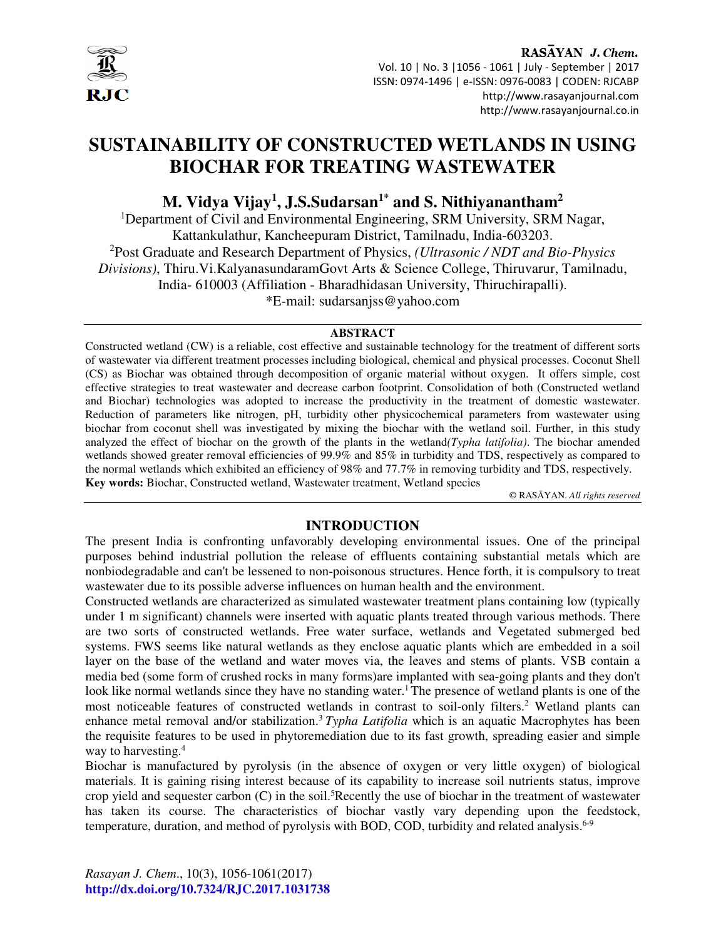

RASAYAN J. Chem. Vol. 10 | No. 3 |1056 - 1061 | July - September | 2017 ISSN: 0974-1496 | e-ISSN: 0976-0083 | CODEN: RJCABP http://www.rasayanjournal.com http://www.rasayanjournal.co.in

# **SUSTAINABILITY OF CONSTRUCTED WETLANDS IN USING BIOCHAR FOR TREATING WASTEWATER**

# **M. Vidya Vijay<sup>1</sup> , J.S.Sudarsan1\* and S. Nithiyanantham<sup>2</sup>**

<sup>1</sup>Department of Civil and Environmental Engineering, SRM University, SRM Nagar, Kattankulathur, Kancheepuram District, Tamilnadu, India-603203. <sup>2</sup>Post Graduate and Research Department of Physics, *(Ultrasonic / NDT and Bio-Physics Divisions)*, Thiru.Vi.KalyanasundaramGovt Arts & Science College, Thiruvarur, Tamilnadu, India- 610003 (Affiliation - Bharadhidasan University, Thiruchirapalli). \*E-mail: sudarsanjss@yahoo.com

#### **ABSTRACT**

Constructed wetland (CW) is a reliable, cost effective and sustainable technology for the treatment of different sorts of wastewater via different treatment processes including biological, chemical and physical processes. Coconut Shell (CS) as Biochar was obtained through decomposition of organic material without oxygen. It offers simple, cost effective strategies to treat wastewater and decrease carbon footprint. Consolidation of both (Constructed wetland and Biochar) technologies was adopted to increase the productivity in the treatment of domestic wastewater. Reduction of parameters like nitrogen, pH, turbidity other physicochemical parameters from wastewater using biochar from coconut shell was investigated by mixing the biochar with the wetland soil. Further, in this study analyzed the effect of biochar on the growth of the plants in the wetland*(Typha latifolia)*. The biochar amended wetlands showed greater removal efficiencies of 99.9% and 85% in turbidity and TDS, respectively as compared to the normal wetlands which exhibited an efficiency of 98% and 77.7% in removing turbidity and TDS, respectively. **Key words:** Biochar, Constructed wetland, Wastewater treatment, Wetland species

© RASĀYAN. *All rights reserved*

## **INTRODUCTION**

The present India is confronting unfavorably developing environmental issues. One of the principal purposes behind industrial pollution the release of effluents containing substantial metals which are nonbiodegradable and can't be lessened to non-poisonous structures. Hence forth, it is compulsory to treat wastewater due to its possible adverse influences on human health and the environment.

Constructed wetlands are characterized as simulated wastewater treatment plans containing low (typically under 1 m significant) channels were inserted with aquatic plants treated through various methods. There are two sorts of constructed wetlands. Free water surface, wetlands and Vegetated submerged bed systems. FWS seems like natural wetlands as they enclose aquatic plants which are embedded in a soil layer on the base of the wetland and water moves via, the leaves and stems of plants. VSB contain a media bed (some form of crushed rocks in many forms)are implanted with sea-going plants and they don't look like normal wetlands since they have no standing water.<sup>1</sup> The presence of wetland plants is one of the most noticeable features of constructed wetlands in contrast to soil-only filters.<sup>2</sup> Wetland plants can enhance metal removal and/or stabilization.<sup>3</sup> Typha Latifolia which is an aquatic Macrophytes has been the requisite features to be used in phytoremediation due to its fast growth, spreading easier and simple way to harvesting.<sup>4</sup>

Biochar is manufactured by pyrolysis (in the absence of oxygen or very little oxygen) of biological materials. It is gaining rising interest because of its capability to increase soil nutrients status, improve crop yield and sequester carbon  $(C)$  in the soil.<sup>5</sup>Recently the use of biochar in the treatment of wastewater has taken its course. The characteristics of biochar vastly vary depending upon the feedstock, temperature, duration, and method of pyrolysis with BOD, COD, turbidity and related analysis. $6-9$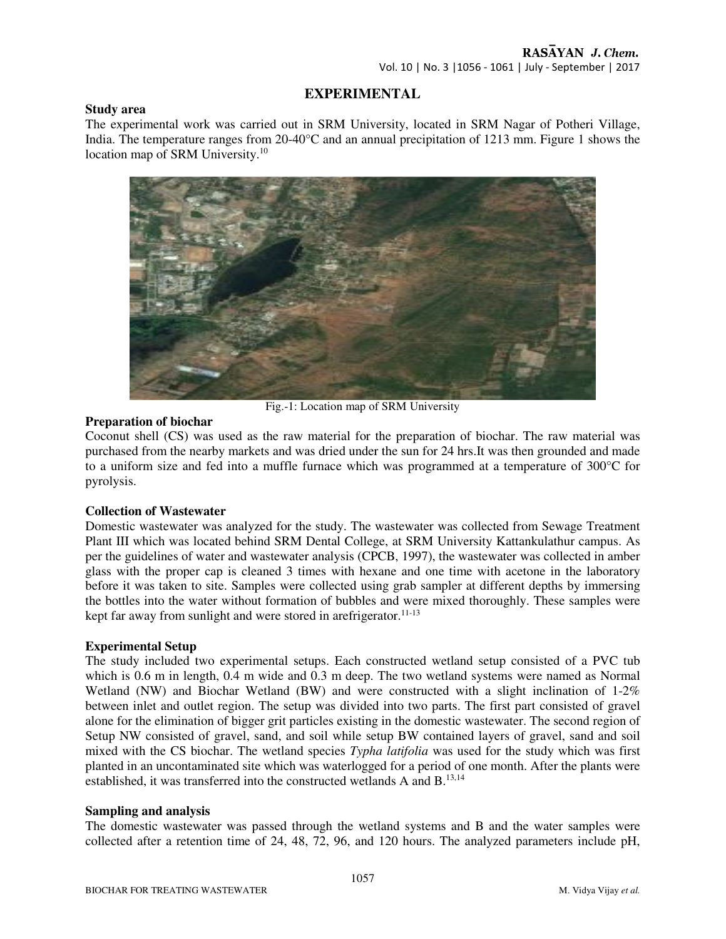Vol. 10 | No. 3 |1056 - 1061 | July - September | 2017

# **EXPERIMENTAL**

#### **Study area**

The experimental work was carried out in SRM University, located in SRM Nagar of Potheri Village, India. The temperature ranges from 20-40°C and an annual precipitation of 1213 mm. Figure 1 shows the location map of SRM University.<sup>10</sup>



Fig.-1: Location map of SRM University

## **Preparation of biochar**

Coconut shell (CS) was used as the raw material for the preparation of biochar. The raw material was purchased from the nearby markets and was dried under the sun for 24 hrs.It was then grounded and made to a uniform size and fed into a muffle furnace which was programmed at a temperature of 300°C for pyrolysis.

## **Collection of Wastewater**

Domestic wastewater was analyzed for the study. The wastewater was collected from Sewage Treatment Plant III which was located behind SRM Dental College, at SRM University Kattankulathur campus. As per the guidelines of water and wastewater analysis (CPCB, 1997), the wastewater was collected in amber glass with the proper cap is cleaned 3 times with hexane and one time with acetone in the laboratory before it was taken to site. Samples were collected using grab sampler at different depths by immersing the bottles into the water without formation of bubbles and were mixed thoroughly. These samples were kept far away from sunlight and were stored in arefrigerator.<sup>11-13</sup>

## **Experimental Setup**

The study included two experimental setups. Each constructed wetland setup consisted of a PVC tub which is 0.6 m in length, 0.4 m wide and 0.3 m deep. The two wetland systems were named as Normal Wetland (NW) and Biochar Wetland (BW) and were constructed with a slight inclination of 1-2% between inlet and outlet region. The setup was divided into two parts. The first part consisted of gravel alone for the elimination of bigger grit particles existing in the domestic wastewater. The second region of Setup NW consisted of gravel, sand, and soil while setup BW contained layers of gravel, sand and soil mixed with the CS biochar. The wetland species *Typha latifolia* was used for the study which was first planted in an uncontaminated site which was waterlogged for a period of one month. After the plants were established, it was transferred into the constructed wetlands A and B.13,14

#### **Sampling and analysis**

The domestic wastewater was passed through the wetland systems and B and the water samples were collected after a retention time of 24, 48, 72, 96, and 120 hours. The analyzed parameters include pH,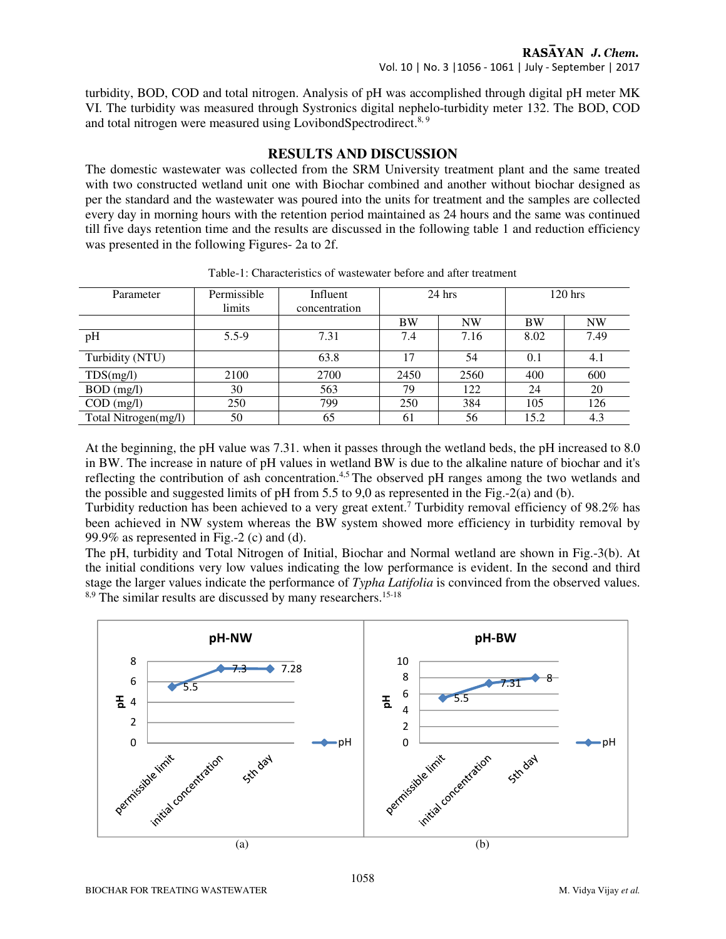turbidity, BOD, COD and total nitrogen. Analysis of pH was accomplished through digital pH meter MK VI. The turbidity was measured through Systronics digital nephelo-turbidity meter 132. The BOD, COD and total nitrogen were measured using LovibondSpectrodirect.<sup>8, 9</sup>

## **RESULTS AND DISCUSSION**

The domestic wastewater was collected from the SRM University treatment plant and the same treated with two constructed wetland unit one with Biochar combined and another without biochar designed as per the standard and the wastewater was poured into the units for treatment and the samples are collected every day in morning hours with the retention period maintained as 24 hours and the same was continued till five days retention time and the results are discussed in the following table 1 and reduction efficiency was presented in the following Figures- 2a to 2f.

| Parameter            | Permissible<br>limits | Influent<br>concentration | $24$ hrs  |           | $120$ hrs |           |
|----------------------|-----------------------|---------------------------|-----------|-----------|-----------|-----------|
|                      |                       |                           | <b>BW</b> | <b>NW</b> | <b>BW</b> | <b>NW</b> |
| pH                   | $5.5 - 9$             | 7.31                      | 7.4       | 7.16      | 8.02      | 7.49      |
| Turbidity (NTU)      |                       | 63.8                      | 17        | 54        | 0.1       | 4.1       |
| TDS(mg/l)            | 2100                  | 2700                      | 2450      | 2560      | 400       | 600       |
| $BOD$ (mg/l)         | 30                    | 563                       | 79        | 122       | 24        | 20        |
| $COD$ (mg/l)         | 250                   | 799                       | 250       | 384       | 105       | 126       |
| Total Nitrogen(mg/l) | 50                    | 65                        | 61        | 56        | 15.2      | 4.3       |

Table-1: Characteristics of wastewater before and after treatment

At the beginning, the pH value was 7.31. when it passes through the wetland beds, the pH increased to 8.0 in BW. The increase in nature of pH values in wetland BW is due to the alkaline nature of biochar and it's reflecting the contribution of ash concentration.4,5 The observed pH ranges among the two wetlands and the possible and suggested limits of pH from 5.5 to 9,0 as represented in the Fig.-2(a) and (b).

Turbidity reduction has been achieved to a very great extent.<sup>7</sup> Turbidity removal efficiency of  $98.2\%$  has been achieved in NW system whereas the BW system showed more efficiency in turbidity removal by 99.9% as represented in Fig.-2 (c) and (d).

The pH, turbidity and Total Nitrogen of Initial, Biochar and Normal wetland are shown in Fig.-3(b). At the initial conditions very low values indicating the low performance is evident. In the second and third stage the larger values indicate the performance of *Typha Latifolia* is convinced from the observed values. <sup>8,9</sup> The similar results are discussed by many researchers.<sup>15-18</sup>

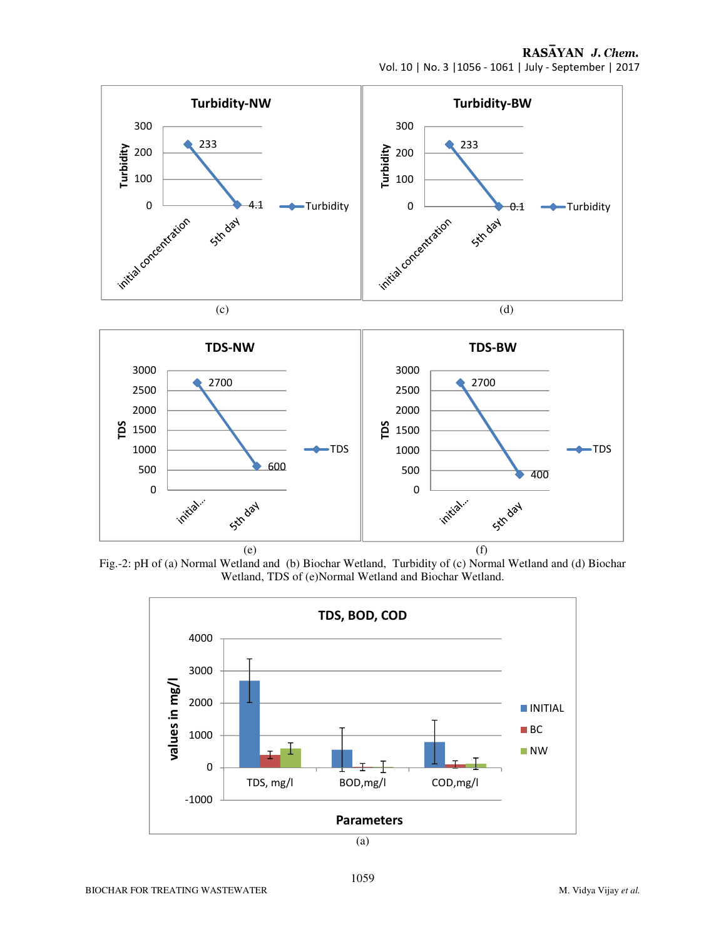RASAYAN J. Chem. Vol. 10 | No. 3 |1056 - 1061 | July - September | 2017

400

**Str day** 

TDS



Fig.-2: pH of (a) Normal Wetland and (b) Biochar Wetland, Turbidity of (c) Normal Wetland and (d) Biochar Wetland, TDS of (e)Normal Wetland and Biochar Wetland.

initial.

 $(e)$  (f)

TDS

600

Sim day



(a)

initial.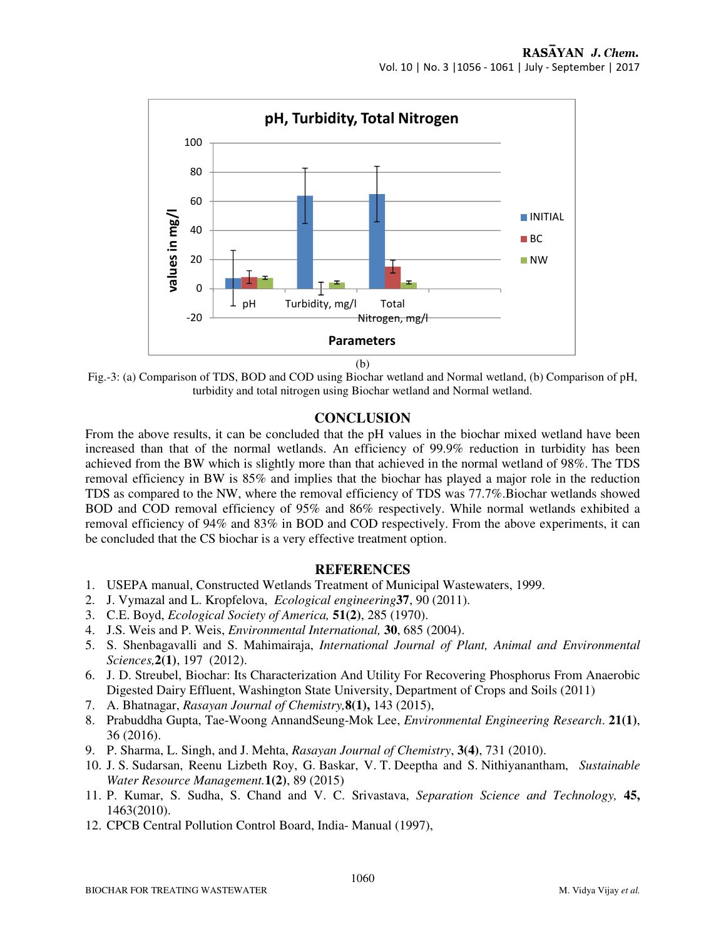

(b)

Fig.-3: (a) Comparison of TDS, BOD and COD using Biochar wetland and Normal wetland, (b) Comparison of pH, turbidity and total nitrogen using Biochar wetland and Normal wetland.

## **CONCLUSION**

From the above results, it can be concluded that the pH values in the biochar mixed wetland have been increased than that of the normal wetlands. An efficiency of 99.9% reduction in turbidity has been achieved from the BW which is slightly more than that achieved in the normal wetland of 98%. The TDS removal efficiency in BW is 85% and implies that the biochar has played a major role in the reduction TDS as compared to the NW, where the removal efficiency of TDS was 77.7%.Biochar wetlands showed BOD and COD removal efficiency of 95% and 86% respectively. While normal wetlands exhibited a removal efficiency of 94% and 83% in BOD and COD respectively. From the above experiments, it can be concluded that the CS biochar is a very effective treatment option.

## **REFERENCES**

- 1. USEPA manual, Constructed Wetlands Treatment of Municipal Wastewaters, 1999.
- 2. J. Vymazal and L. Kropfelova, *Ecological engineering***37**, 90 (2011).
- 3. C.E. Boyd, *Ecological Society of America,* **51(2)**, 285 (1970).
- 4. J.S. Weis and P. Weis, *Environmental International,* **30**, 685 (2004).
- 5. S. Shenbagavalli and S. Mahimairaja, *International Journal of Plant, Animal and Environmental Sciences,***2(1)**, 197 (2012).
- 6. J. D. Streubel, Biochar: Its Characterization And Utility For Recovering Phosphorus From Anaerobic Digested Dairy Effluent, Washington State University, Department of Crops and Soils (2011)
- 7. A. Bhatnagar, *Rasayan Journal of Chemistry,***8(1),** 143 (2015),
- 8. Prabuddha Gupta, Tae-Woong AnnandSeung-Mok Lee, *Environmental Engineering Research*. **21(1)**, 36 (2016).
- 9. P. Sharma, L. Singh, and J. Mehta, *Rasayan Journal of Chemistry*, **3(4)**, 731 (2010).
- 10. J. S. Sudarsan, Reenu Lizbeth Roy, G. Baskar, V. T. Deeptha and S. Nithiyanantham, *Sustainable Water Resource Management.***1(2)**, 89 (2015)
- 11. P. Kumar, S. Sudha, S. Chand and V. C. Srivastava, *Separation Science and Technology,* **45,**  1463(2010).
- 12. CPCB Central Pollution Control Board, India- Manual (1997),